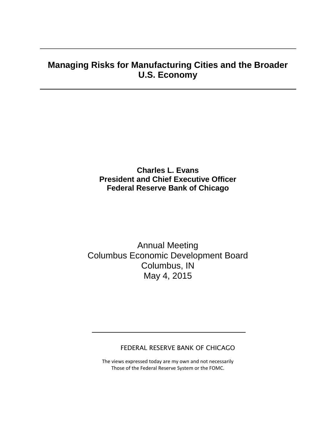# **Managing Risks for Manufacturing Cities and the Broader U.S. Economy**

# **Charles L. Evans President and Chief Executive Officer Federal Reserve Bank of Chicago**

Annual Meeting Columbus Economic Development Board Columbus, IN May 4, 2015

#### FEDERAL RESERVE BANK OF CHICAGO

The views expressed today are my own and not necessarily Those of the Federal Reserve System or the FOMC.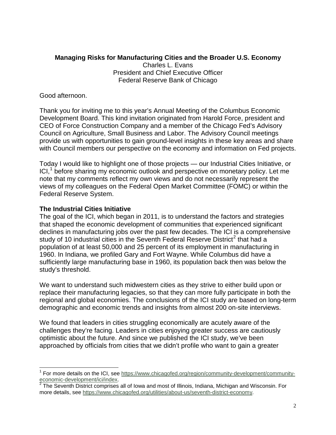## **Managing Risks for Manufacturing Cities and the Broader U.S. Economy**

Charles L. Evans President and Chief Executive Officer Federal Reserve Bank of Chicago

Good afternoon.

Thank you for inviting me to this year's Annual Meeting of the Columbus Economic Development Board. This kind invitation originated from Harold Force, president and CEO of Force Construction Company and a member of the Chicago Fed's Advisory Council on Agriculture, Small Business and Labor. The Advisory Council meetings provide us with opportunities to gain ground-level insights in these key areas and share with Council members our perspective on the economy and information on Fed projects.

Today I would like to highlight one of those projects — our Industrial Cities Initiative, or  $ICI<sub>1</sub><sup>1</sup>$  $ICI<sub>1</sub><sup>1</sup>$  $ICI<sub>1</sub><sup>1</sup>$  before sharing my economic outlook and perspective on monetary policy. Let me note that my comments reflect my own views and do not necessarily represent the views of my colleagues on the Federal Open Market Committee (FOMC) or within the Federal Reserve System.

## **The Industrial Cities Initiative**

The goal of the ICI, which began in 2011, is to understand the factors and strategies that shaped the economic development of communities that experienced significant declines in manufacturing jobs over the past few decades. The ICI is a comprehensive study of 10 industrial cities in the Seventh Federal Reserve District<sup>[2](#page-1-1)</sup> that had a population of at least 50,000 and 25 percent of its employment in manufacturing in 1960. In Indiana, we profiled Gary and Fort Wayne. While Columbus did have a sufficiently large manufacturing base in 1960, its population back then was below the study's threshold.

We want to understand such midwestern cities as they strive to either build upon or replace their manufacturing legacies, so that they can more fully participate in both the regional and global economies. The conclusions of the ICI study are based on long-term demographic and economic trends and insights from almost 200 on-site interviews.

We found that leaders in cities struggling economically are acutely aware of the challenges they're facing. Leaders in cities enjoying greater success are cautiously optimistic about the future. And since we published the ICI study, we've been approached by officials from cities that we didn't profile who want to gain a greater

<span id="page-1-0"></span><sup>1</sup> For more details on the ICI, see [https://www.chicagofed.org/region/community-development/community](https://www.chicagofed.org/region/community-development/community-economic-development/ici/index)[economic-development/ici/index.](https://www.chicagofed.org/region/community-development/community-economic-development/ici/index)<br><sup>2</sup> The Seventh District comprises all of Iowa and most of Illinois, Indiana, Michigan and Wisconsin. For  $\overline{a}$ 

<span id="page-1-1"></span>more details, see [https://www.chicagofed.org/utilities/about-us/seventh-district-economy.](https://www.chicagofed.org/utilities/about-us/seventh-district-economy)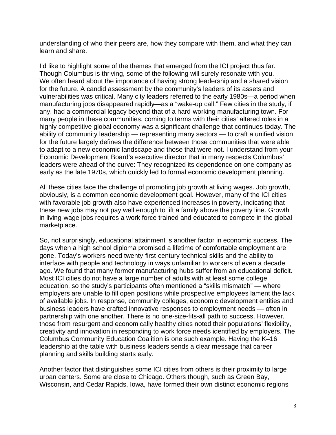understanding of who their peers are, how they compare with them, and what they can learn and share.

I'd like to highlight some of the themes that emerged from the ICI project thus far. Though Columbus is thriving, some of the following will surely resonate with you. We often heard about the importance of having strong leadership and a shared vision for the future. A candid assessment by the community's leaders of its assets and vulnerabilities was critical. Many city leaders referred to the early 1980s—a period when manufacturing jobs disappeared rapidly—as a "wake-up call." Few cities in the study, if any, had a commercial legacy beyond that of a hard-working manufacturing town. For many people in these communities, coming to terms with their cities' altered roles in a highly competitive global economy was a significant challenge that continues today. The ability of community leadership — representing many sectors — to craft a unified vision for the future largely defines the difference between those communities that were able to adapt to a new economic landscape and those that were not. I understand from your Economic Development Board's executive director that in many respects Columbus' leaders were ahead of the curve: They recognized its dependence on one company as early as the late 1970s, which quickly led to formal economic development planning.

All these cities face the challenge of promoting job growth at living wages. Job growth, obviously, is a common economic development goal. However, many of the ICI cities with favorable job growth also have experienced increases in poverty, indicating that these new jobs may not pay well enough to lift a family above the poverty line. Growth in living-wage jobs requires a work force trained and educated to compete in the global marketplace.

So, not surprisingly, educational attainment is another factor in economic success. The days when a high school diploma promised a lifetime of comfortable employment are gone. Today's workers need twenty-first-century technical skills and the ability to interface with people and technology in ways unfamiliar to workers of even a decade ago. We found that many former manufacturing hubs suffer from an educational deficit. Most ICI cities do not have a large number of adults with at least some college education, so the study's participants often mentioned a "skills mismatch" — where employers are unable to fill open positions while prospective employees lament the lack of available jobs. In response, community colleges, economic development entities and business leaders have crafted innovative responses to employment needs — often in partnership with one another. There is no one-size-fits-all path to success. However, those from resurgent and economically healthy cities noted their populations' flexibility, creativity and innovation in responding to work force needs identified by employers. The Columbus Community Education Coalition is one such example. Having the K–16 leadership at the table with business leaders sends a clear message that career planning and skills building starts early.

Another factor that distinguishes some ICI cities from others is their proximity to large urban centers. Some are close to Chicago. Others though, such as Green Bay, Wisconsin, and Cedar Rapids, Iowa, have formed their own distinct economic regions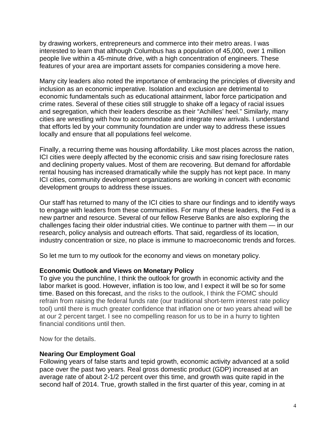by drawing workers, entrepreneurs and commerce into their metro areas. I was interested to learn that although Columbus has a population of 45,000, over 1 million people live within a 45-minute drive, with a high concentration of engineers. These features of your area are important assets for companies considering a move here.

Many city leaders also noted the importance of embracing the principles of diversity and inclusion as an economic imperative. Isolation and exclusion are detrimental to economic fundamentals such as educational attainment, labor force participation and crime rates. Several of these cities still struggle to shake off a legacy of racial issues and segregation, which their leaders describe as their "Achilles' heel." Similarly, many cities are wrestling with how to accommodate and integrate new arrivals. I understand that efforts led by your community foundation are under way to address these issues locally and ensure that all populations feel welcome.

Finally, a recurring theme was housing affordability. Like most places across the nation, ICI cities were deeply affected by the economic crisis and saw rising foreclosure rates and declining property values. Most of them are recovering. But demand for affordable rental housing has increased dramatically while the supply has not kept pace. In many ICI cities, community development organizations are working in concert with economic development groups to address these issues.

Our staff has returned to many of the ICI cities to share our findings and to identify ways to engage with leaders from these communities. For many of these leaders, the Fed is a new partner and resource. Several of our fellow Reserve Banks are also exploring the challenges facing their older industrial cities. We continue to partner with them — in our research, policy analysis and outreach efforts. That said, regardless of its location, industry concentration or size, no place is immune to macroeconomic trends and forces.

So let me turn to my outlook for the economy and views on monetary policy.

#### **Economic Outlook and Views on Monetary Policy**

To give you the punchline, I think the outlook for growth in economic activity and the labor market is good. However, inflation is too low, and I expect it will be so for some time. Based on this forecast, and the risks to the outlook, I think the FOMC should refrain from raising the federal funds rate (our traditional short-term interest rate policy tool) until there is much greater confidence that inflation one or two years ahead will be at our 2 percent target. I see no compelling reason for us to be in a hurry to tighten financial conditions until then.

Now for the details.

#### **Nearing Our Employment Goal**

Following years of false starts and tepid growth, economic activity advanced at a solid pace over the past two years. Real gross domestic product (GDP) increased at an average rate of about 2-1/2 percent over this time, and growth was quite rapid in the second half of 2014. True, growth stalled in the first quarter of this year, coming in at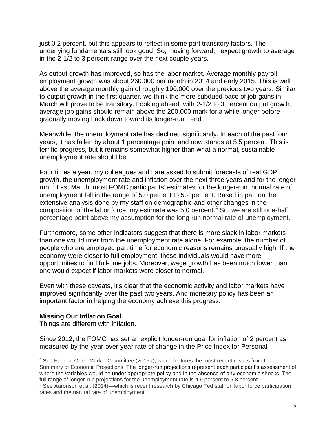just 0.2 percent, but this appears to reflect in some part transitory factors. The underlying fundamentals still look good. So, moving forward, I expect growth to average in the 2-1/2 to 3 percent range over the next couple years.

As output growth has improved, so has the labor market. Average monthly payroll employment growth was about 260,000 per month in 2014 and early 2015. This is well above the average monthly gain of roughly 190,000 over the previous two years. Similar to output growth in the first quarter, we think the more subdued pace of job gains in March will prove to be transitory. Looking ahead, with 2-1/2 to 3 percent output growth, average job gains should remain above the 200,000 mark for a while longer before gradually moving back down toward its longer-run trend.

Meanwhile, the unemployment rate has declined significantly. In each of the past four years, it has fallen by about 1 percentage point and now stands at 5.5 percent. This is terrific progress, but it remains somewhat higher than what a normal, sustainable unemployment rate should be.

Four times a year, my colleagues and I are asked to submit forecasts of real GDP growth, the unemployment rate and inflation over the next three years and for the longer run.<sup>[3](#page-4-0)</sup> Last March, most FOMC participants' estimates for the longer-run, normal rate of unemployment fell in the range of 5.0 percent to 5.2 percent. Based in part on the extensive analysis done by my staff on demographic and other changes in the composition of the labor force, my estimate was  $5.0$  percent.<sup>[4](#page-4-1)</sup> So, we are still one-half percentage point above my assumption for the long-run normal rate of unemployment.

Furthermore, some other indicators suggest that there is more slack in labor markets than one would infer from the unemployment rate alone. For example, the number of people who are employed part time for economic reasons remains unusually high. If the economy were closer to full employment, these individuals would have more opportunities to find full-time jobs. Moreover, wage growth has been much lower than one would expect if labor markets were closer to normal.

Even with these caveats, it's clear that the economic activity and labor markets have improved significantly over the past two years. And monetary policy has been an important factor in helping the economy achieve this progress.

#### **Missing Our Inflation Goal**

Things are different with inflation.

Since 2012, the FOMC has set an explicit longer-run goal for inflation of 2 percent as measured by the year-over-year rate of change in the Price Index for Personal

<span id="page-4-0"></span> $3$  See Federal Open Market Committee (2015a), which features the most recent results from the Summary of Economic Projections. The longer-run projections represent each participant's assessment of where the variables would be under appropriate policy and in the absence of any economic shocks. The full range of longer-run projections for the unemployment rate is 4.9 percent to 5.8 percent.  $\overline{a}$ 

<span id="page-4-1"></span><sup>&</sup>lt;sup>4</sup> See Aaronson et al. (2014)—which is recent research by Chicago Fed staff on labor force participation rates and the natural rate of unemployment.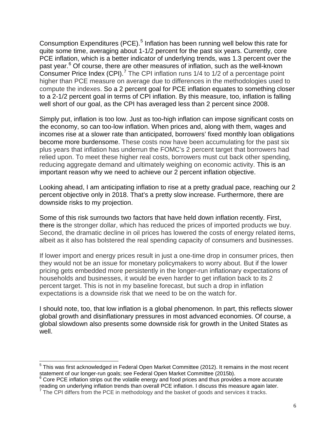Consumption Expenditures (PCE).<sup>[5](#page-5-0)</sup> Inflation has been running well below this rate for quite some time, averaging about 1-1/2 percent for the past six years. Currently, core PCE inflation, which is a better indicator of underlying trends, was 1.3 percent over the past year.<sup>[6](#page-5-1)</sup> Of course, there are other measures of inflation, such as the well-known Consumer Price Index (CPI).<sup>[7](#page-5-2)</sup> The CPI inflation runs  $1/4$  to  $1/2$  of a percentage point higher than PCE measure on average due to differences in the methodologies used to compute the indexes. So a 2 percent goal for PCE inflation equates to something closer to a 2-1/2 percent goal in terms of CPI inflation. By this measure, too, inflation is falling well short of our goal, as the CPI has averaged less than 2 percent since 2008.

Simply put, inflation is too low. Just as too-high inflation can impose significant costs on the economy, so can too-low inflation. When prices and, along with them, wages and incomes rise at a slower rate than anticipated, borrowers' fixed monthly loan obligations become more burdensome. These costs now have been accumulating for the past six plus years that inflation has underrun the FOMC's 2 percent target that borrowers had relied upon. To meet these higher real costs, borrowers must cut back other spending, reducing aggregate demand and ultimately weighing on economic activity. This is an important reason why we need to achieve our 2 percent inflation objective.

Looking ahead, I am anticipating inflation to rise at a pretty gradual pace, reaching our 2 percent objective only in 2018. That's a pretty slow increase. Furthermore, there are downside risks to my projection.

Some of this risk surrounds two factors that have held down inflation recently. First, there is the stronger dollar, which has reduced the prices of imported products we buy. Second, the dramatic decline in oil prices has lowered the costs of energy related items, albeit as it also has bolstered the real spending capacity of consumers and businesses.

If lower import and energy prices result in just a one-time drop in consumer prices, then they would not be an issue for monetary policymakers to worry about. But if the lower pricing gets embedded more persistently in the longer-run inflationary expectations of households and businesses, it would be even harder to get inflation back to its 2 percent target. This is not in my baseline forecast, but such a drop in inflation expectations is a downside risk that we need to be on the watch for.

I should note, too, that low inflation is a global phenomenon. In part, this reflects slower global growth and disinflationary pressures in most advanced economies. Of course, a global slowdown also presents some downside risk for growth in the United States as well.

 $\overline{a}$ 

<span id="page-5-0"></span> $5$  This was first acknowledged in Federal Open Market Committee (2012). It remains in the most recent statement of our longer-run goals; see Federal Open Market Committee (2015b).<br><sup>6</sup> Core PCE inflation strips out the volatile energy and food prices and thus provides a more accurate

<span id="page-5-1"></span>reading on underlying inflation trends than overall PCE inflation. I discuss this measure again later.

<span id="page-5-2"></span> $<sup>7</sup>$  The CPI differs from the PCE in methodology and the basket of goods and services it tracks.</sup>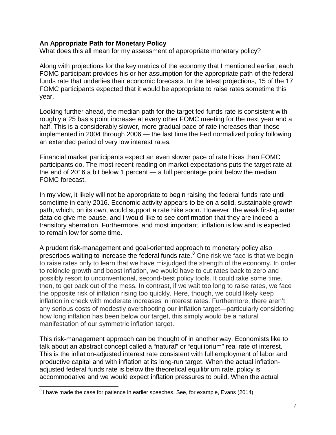#### **An Appropriate Path for Monetary Policy**

What does this all mean for my assessment of appropriate monetary policy?

Along with projections for the key metrics of the economy that I mentioned earlier, each FOMC participant provides his or her assumption for the appropriate path of the federal funds rate that underlies their economic forecasts. In the latest projections, 15 of the 17 FOMC participants expected that it would be appropriate to raise rates sometime this year.

Looking further ahead, the median path for the target fed funds rate is consistent with roughly a 25 basis point increase at every other FOMC meeting for the next year and a half. This is a considerably slower, more gradual pace of rate increases than those implemented in 2004 through 2006 — the last time the Fed normalized policy following an extended period of very low interest rates.

Financial market participants expect an even slower pace of rate hikes than FOMC participants do. The most recent reading on market expectations puts the target rate at the end of 2016 a bit below 1 percent  $-$  a full percentage point below the median FOMC forecast.

In my view, it likely will not be appropriate to begin raising the federal funds rate until sometime in early 2016. Economic activity appears to be on a solid, sustainable growth path, which, on its own, would support a rate hike soon. However, the weak first-quarter data do give me pause, and I would like to see confirmation that they are indeed a transitory aberration. Furthermore, and most important, inflation is low and is expected to remain low for some time.

A prudent risk-management and goal-oriented approach to monetary policy also prescribes waiting to increase the federal funds rate.<sup>[8](#page-6-0)</sup> One risk we face is that we begin to raise rates only to learn that we have misjudged the strength of the economy. In order to rekindle growth and boost inflation, we would have to cut rates back to zero and possibly resort to unconventional, second-best policy tools. It could take some time, then, to get back out of the mess. In contrast, if we wait too long to raise rates, we face the opposite risk of inflation rising too quickly. Here, though, we could likely keep inflation in check with moderate increases in interest rates. Furthermore, there aren't any serious costs of modestly overshooting our inflation target—particularly considering how long inflation has been below our target, this simply would be a natural manifestation of our symmetric inflation target.

This risk-management approach can be thought of in another way. Economists like to talk about an abstract concept called a "natural" or "equilibrium" real rate of interest. This is the inflation-adjusted interest rate consistent with full employment of labor and productive capital and with inflation at its long-run target. When the actual inflationadjusted federal funds rate is below the theoretical equilibrium rate, policy is accommodative and we would expect inflation pressures to build. When the actual

 $\overline{\phantom{a}}$ 

<span id="page-6-0"></span> ${}^{8}$  I have made the case for patience in earlier speeches. See, for example, Evans (2014).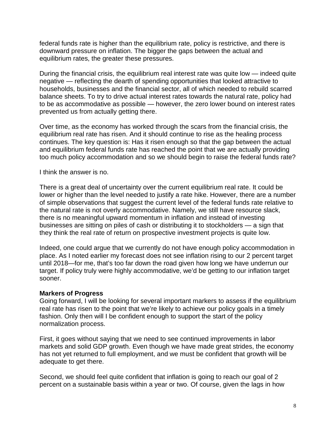federal funds rate is higher than the equilibrium rate, policy is restrictive, and there is downward pressure on inflation. The bigger the gaps between the actual and equilibrium rates, the greater these pressures.

During the financial crisis, the equilibrium real interest rate was quite low — indeed quite negative — reflecting the dearth of spending opportunities that looked attractive to households, businesses and the financial sector, all of which needed to rebuild scarred balance sheets. To try to drive actual interest rates towards the natural rate, policy had to be as accommodative as possible — however, the zero lower bound on interest rates prevented us from actually getting there.

Over time, as the economy has worked through the scars from the financial crisis, the equilibrium real rate has risen. And it should continue to rise as the healing process continues. The key question is: Has it risen enough so that the gap between the actual and equilibrium federal funds rate has reached the point that we are actually providing too much policy accommodation and so we should begin to raise the federal funds rate?

I think the answer is no.

There is a great deal of uncertainty over the current equilibrium real rate. It could be lower or higher than the level needed to justify a rate hike. However, there are a number of simple observations that suggest the current level of the federal funds rate relative to the natural rate is not overly accommodative. Namely, we still have resource slack, there is no meaningful upward momentum in inflation and instead of investing businesses are sitting on piles of cash or distributing it to stockholders — a sign that they think the real rate of return on prospective investment projects is quite low.

Indeed, one could argue that we currently do not have enough policy accommodation in place. As I noted earlier my forecast does not see inflation rising to our 2 percent target until 2018—for me, that's too far down the road given how long we have underrun our target. If policy truly were highly accommodative, we'd be getting to our inflation target sooner.

#### **Markers of Progress**

Going forward, I will be looking for several important markers to assess if the equilibrium real rate has risen to the point that we're likely to achieve our policy goals in a timely fashion. Only then will I be confident enough to support the start of the policy normalization process.

First, it goes without saying that we need to see continued improvements in labor markets and solid GDP growth. Even though we have made great strides, the economy has not yet returned to full employment, and we must be confident that growth will be adequate to get there.

Second, we should feel quite confident that inflation is going to reach our goal of 2 percent on a sustainable basis within a year or two. Of course, given the lags in how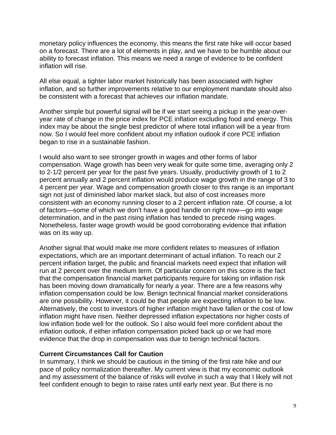monetary policy influences the economy, this means the first rate hike will occur based on a forecast. There are a lot of elements in play, and we have to be humble about our ability to forecast inflation. This means we need a range of evidence to be confident inflation will rise.

All else equal, a tighter labor market historically has been associated with higher inflation, and so further improvements relative to our employment mandate should also be consistent with a forecast that achieves our inflation mandate.

Another simple but powerful signal will be if we start seeing a pickup in the year-overyear rate of change in the price index for PCE inflation excluding food and energy. This index may be about the single best predictor of where total inflation will be a year from now. So I would feel more confident about my inflation outlook if core PCE inflation began to rise in a sustainable fashion.

I would also want to see stronger growth in wages and other forms of labor compensation. Wage growth has been very weak for quite some time, averaging only 2 to 2-1/2 percent per year for the past five years. Usually, productivity growth of 1 to 2 percent annually and 2 percent inflation would produce wage growth in the range of 3 to 4 percent per year. Wage and compensation growth closer to this range is an important sign not just of diminished labor market slack, but also of cost increases more consistent with an economy running closer to a 2 percent inflation rate. Of course, a lot of factors—some of which we don't have a good handle on right now—go into wage determination, and in the past rising inflation has tended to precede rising wages. Nonetheless, faster wage growth would be good corroborating evidence that inflation was on its way up.

Another signal that would make me more confident relates to measures of inflation expectations, which are an important determinant of actual inflation. To reach our 2 percent inflation target, the public and financial markets need expect that inflation will run at 2 percent over the medium term. Of particular concern on this score is the fact that the compensation financial market participants require for taking on inflation risk has been moving down dramatically for nearly a year. There are a few reasons why inflation compensation could be low. Benign technical financial market considerations are one possibility. However, it could be that people are expecting inflation to be low. Alternatively, the cost to investors of higher inflation might have fallen or the cost of low inflation might have risen. Neither depressed inflation expectations nor higher costs of low inflation bode well for the outlook. So I also would feel more confident about the inflation outlook, if either inflation compensation picked back up or we had more evidence that the drop in compensation was due to benign technical factors.

#### **Current Circumstances Call for Caution**

In summary, I think we should be cautious in the timing of the first rate hike and our pace of policy normalization thereafter. My current view is that my economic outlook and my assessment of the balance of risks will evolve in such a way that I likely will not feel confident enough to begin to raise rates until early next year. But there is no